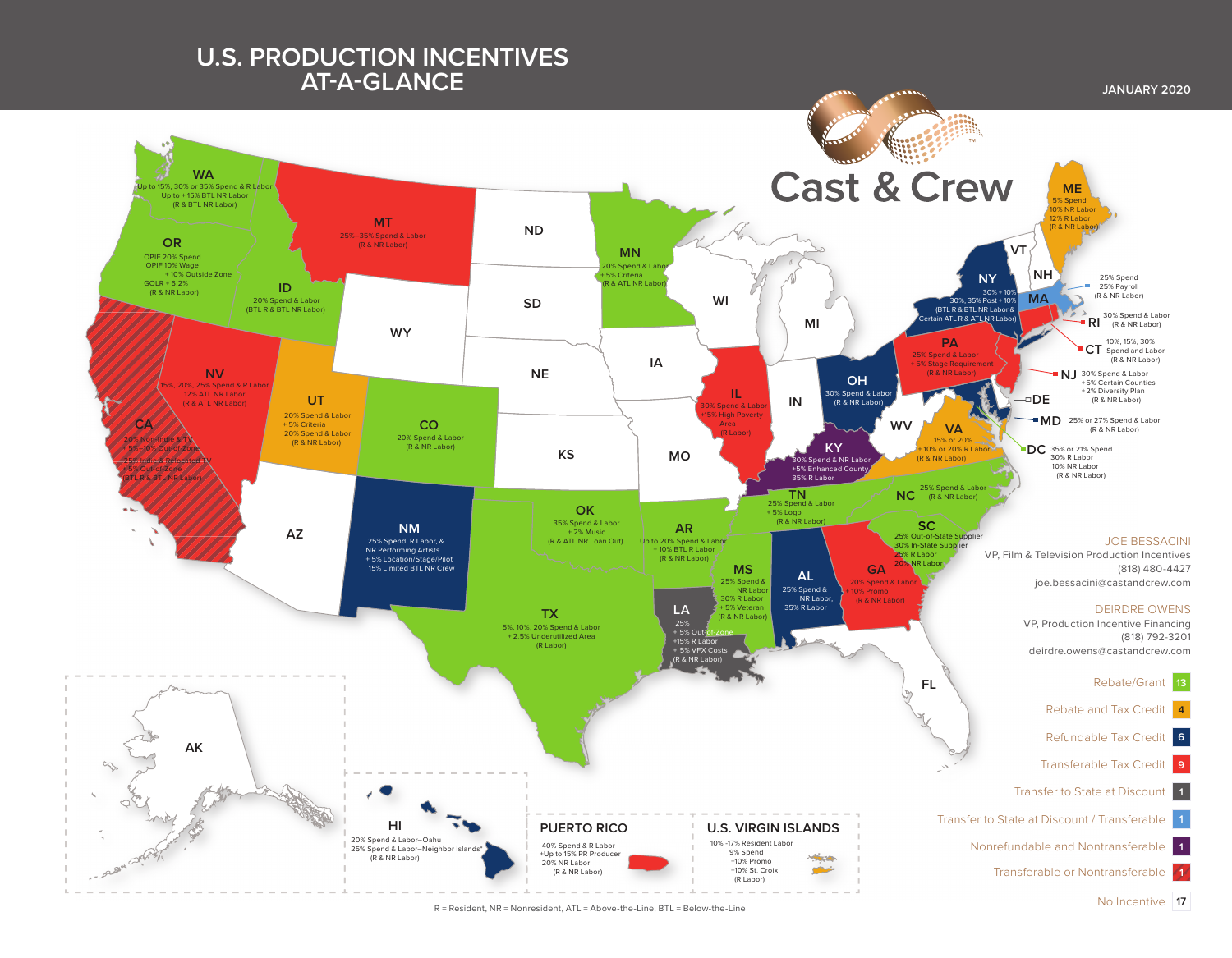## **U.S. PRODUCTION INCENTIVES AT-A-GLANCE**





 $R =$  Resident, NR = Nonresident, ATL = Above-the-Line, BTL = Below-the-Line

No Incentive **17**